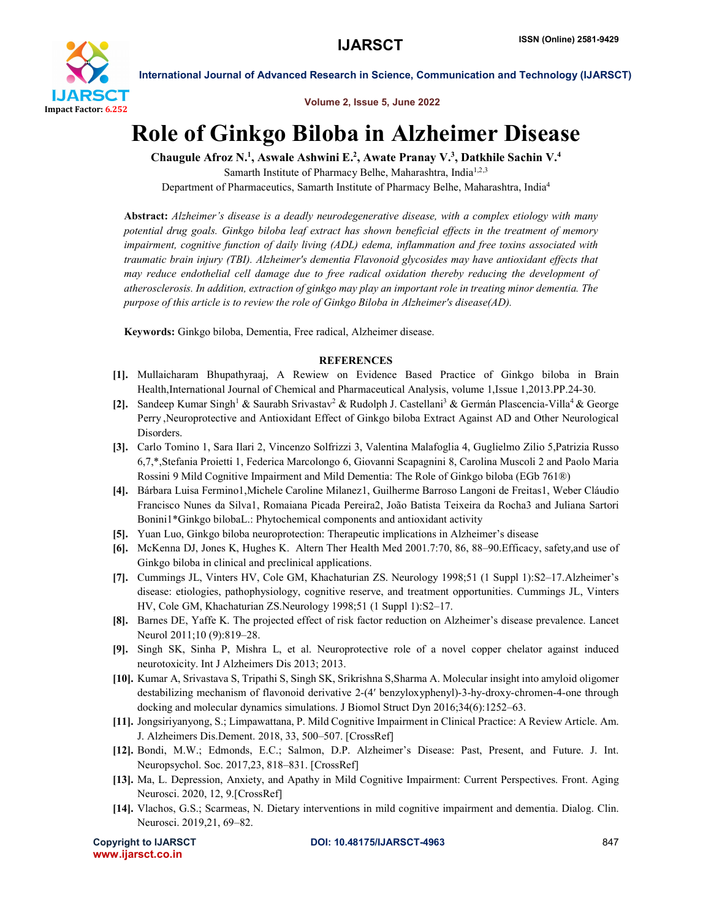

International Journal of Advanced Research in Science, Communication and Technology (IJARSCT)

Volume 2, Issue 5, June 2022

## Role of Ginkgo Biloba in Alzheimer Disease

Chaugule Afroz N.<sup>1</sup>, Aswale Ashwini E.<sup>2</sup>, Awate Pranay V.<sup>3</sup>, Datkhile Sachin V.<sup>4</sup>

Samarth Institute of Pharmacy Belhe, Maharashtra, India<sup>1,2,3</sup> Department of Pharmaceutics, Samarth Institute of Pharmacy Belhe, Maharashtra, India4

Abstract: *Alzheimer's disease is a deadly neurodegenerative disease, with a complex etiology with many potential drug goals. Ginkgo biloba leaf extract has shown beneficial effects in the treatment of memory impairment, cognitive function of daily living (ADL) edema, inflammation and free toxins associated with traumatic brain injury (TBI). Alzheimer's dementia Flavonoid glycosides may have antioxidant effects that may reduce endothelial cell damage due to free radical oxidation thereby reducing the development of atherosclerosis. In addition, extraction of ginkgo may play an important role in treating minor dementia. The purpose of this article is to review the role of Ginkgo Biloba in Alzheimer's disease(AD).*

Keywords: Ginkgo biloba, Dementia, Free radical, Alzheimer disease.

## **REFERENCES**

- [1]. Mullaicharam Bhupathyraaj, A Rewiew on Evidence Based Practice of Ginkgo biloba in Brain Health,International Journal of Chemical and Pharmaceutical Analysis, volume 1,Issue 1,2013.PP.24-30.
- [2]. Sandeep Kumar Singh<sup>1</sup> & Saurabh Srivastav<sup>2</sup> & Rudolph J. Castellani<sup>3</sup> & Germán Plascencia-Villa<sup>4</sup> & George Perry ,Neuroprotective and Antioxidant Effect of Ginkgo biloba Extract Against AD and Other Neurological Disorders.
- [3]. Carlo Tomino 1, Sara Ilari 2, Vincenzo Solfrizzi 3, Valentina Malafoglia 4, Guglielmo Zilio 5,Patrizia Russo 6,7,\*,Stefania Proietti 1, Federica Marcolongo 6, Giovanni Scapagnini 8, Carolina Muscoli 2 and Paolo Maria Rossini 9 Mild Cognitive Impairment and Mild Dementia: The Role of Ginkgo biloba (EGb 761®)
- [4]. Bárbara Luisa Fermino1,Michele Caroline Milanez1, Guilherme Barroso Langoni de Freitas1, Weber Cláudio Francisco Nunes da Silva1, Romaiana Picada Pereira2, João Batista Teixeira da Rocha3 and Juliana Sartori Bonini1\*Ginkgo bilobaL.: Phytochemical components and antioxidant activity
- [5]. Yuan Luo, Ginkgo biloba neuroprotection: Therapeutic implications in Alzheimer's disease
- [6]. McKenna DJ, Jones K, Hughes K. Altern Ther Health Med 2001.7:70, 86, 88–90.Efficacy, safety,and use of Ginkgo biloba in clinical and preclinical applications.
- [7]. Cummings JL, Vinters HV, Cole GM, Khachaturian ZS. Neurology 1998;51 (1 Suppl 1):S2–17.Alzheimer's disease: etiologies, pathophysiology, cognitive reserve, and treatment opportunities. Cummings JL, Vinters HV, Cole GM, Khachaturian ZS.Neurology 1998;51 (1 Suppl 1):S2–17.
- [8]. Barnes DE, Yaffe K. The projected effect of risk factor reduction on Alzheimer's disease prevalence. Lancet Neurol 2011;10 (9):819–28.
- [9]. Singh SK, Sinha P, Mishra L, et al. Neuroprotective role of a novel copper chelator against induced neurotoxicity. Int J Alzheimers Dis 2013; 2013.
- [10]. Kumar A, Srivastava S, Tripathi S, Singh SK, Srikrishna S,Sharma A. Molecular insight into amyloid oligomer destabilizing mechanism of flavonoid derivative 2-(4′ benzyloxyphenyl)-3-hy-droxy-chromen-4-one through docking and molecular dynamics simulations. J Biomol Struct Dyn 2016;34(6):1252–63.
- [11]. Jongsiriyanyong, S.; Limpawattana, P. Mild Cognitive Impairment in Clinical Practice: A Review Article. Am. J. Alzheimers Dis.Dement. 2018, 33, 500–507. [CrossRef]
- [12]. Bondi, M.W.; Edmonds, E.C.; Salmon, D.P. Alzheimer's Disease: Past, Present, and Future. J. Int. Neuropsychol. Soc. 2017,23, 818–831. [CrossRef]
- [13]. Ma, L. Depression, Anxiety, and Apathy in Mild Cognitive Impairment: Current Perspectives. Front. Aging Neurosci. 2020, 12, 9.[CrossRef]
- [14]. Vlachos, G.S.; Scarmeas, N. Dietary interventions in mild cognitive impairment and dementia. Dialog. Clin. Neurosci. 2019,21, 69–82.